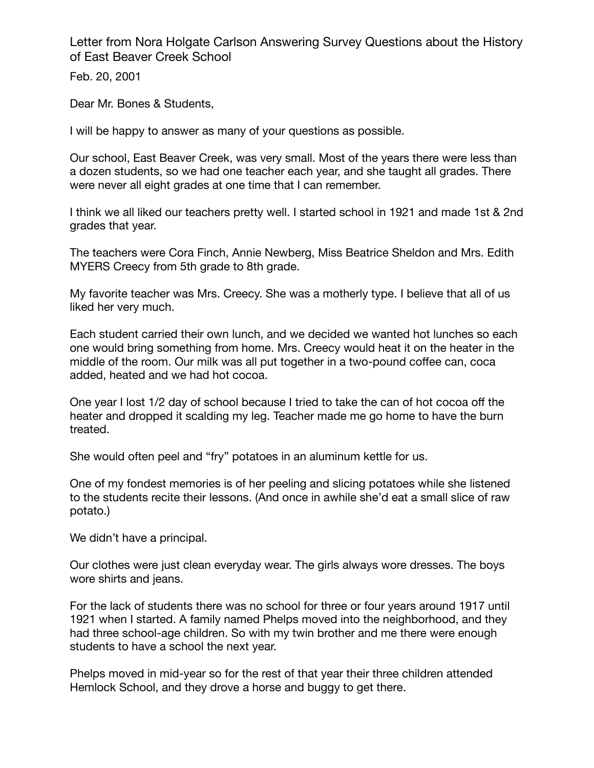Letter from Nora Holgate Carlson Answering Survey Questions about the History of East Beaver Creek School

Feb. 20, 2001

Dear Mr. Bones & Students,

I will be happy to answer as many of your questions as possible.

Our school, East Beaver Creek, was very small. Most of the years there were less than a dozen students, so we had one teacher each year, and she taught all grades. There were never all eight grades at one time that I can remember.

I think we all liked our teachers pretty well. I started school in 1921 and made 1st & 2nd grades that year.

The teachers were Cora Finch, Annie Newberg, Miss Beatrice Sheldon and Mrs. Edith MYERS Creecy from 5th grade to 8th grade.

My favorite teacher was Mrs. Creecy. She was a motherly type. I believe that all of us liked her very much.

Each student carried their own lunch, and we decided we wanted hot lunches so each one would bring something from home. Mrs. Creecy would heat it on the heater in the middle of the room. Our milk was all put together in a two-pound coffee can, coca added, heated and we had hot cocoa.

One year I lost 1/2 day of school because I tried to take the can of hot cocoa off the heater and dropped it scalding my leg. Teacher made me go home to have the burn treated.

She would often peel and "fry" potatoes in an aluminum kettle for us.

One of my fondest memories is of her peeling and slicing potatoes while she listened to the students recite their lessons. (And once in awhile she'd eat a small slice of raw potato.)

We didn't have a principal.

Our clothes were just clean everyday wear. The girls always wore dresses. The boys wore shirts and jeans.

For the lack of students there was no school for three or four years around 1917 until 1921 when I started. A family named Phelps moved into the neighborhood, and they had three school-age children. So with my twin brother and me there were enough students to have a school the next year.

Phelps moved in mid-year so for the rest of that year their three children attended Hemlock School, and they drove a horse and buggy to get there.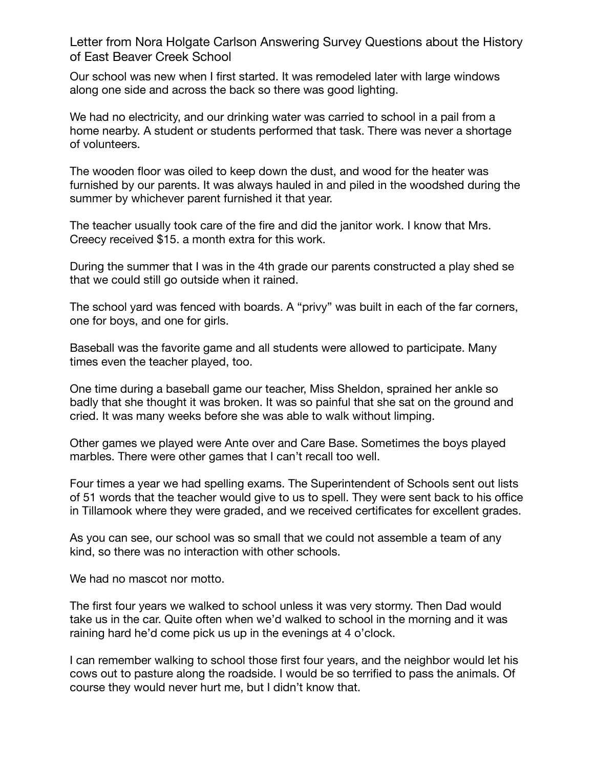Letter from Nora Holgate Carlson Answering Survey Questions about the History of East Beaver Creek School

Our school was new when I first started. It was remodeled later with large windows along one side and across the back so there was good lighting.

We had no electricity, and our drinking water was carried to school in a pail from a home nearby. A student or students performed that task. There was never a shortage of volunteers.

The wooden floor was oiled to keep down the dust, and wood for the heater was furnished by our parents. It was always hauled in and piled in the woodshed during the summer by whichever parent furnished it that year.

The teacher usually took care of the fire and did the janitor work. I know that Mrs. Creecy received \$15. a month extra for this work.

During the summer that I was in the 4th grade our parents constructed a play shed se that we could still go outside when it rained.

The school yard was fenced with boards. A "privy" was built in each of the far corners, one for boys, and one for girls.

Baseball was the favorite game and all students were allowed to participate. Many times even the teacher played, too.

One time during a baseball game our teacher, Miss Sheldon, sprained her ankle so badly that she thought it was broken. It was so painful that she sat on the ground and cried. It was many weeks before she was able to walk without limping.

Other games we played were Ante over and Care Base. Sometimes the boys played marbles. There were other games that I can't recall too well.

Four times a year we had spelling exams. The Superintendent of Schools sent out lists of 51 words that the teacher would give to us to spell. They were sent back to his office in Tillamook where they were graded, and we received certificates for excellent grades.

As you can see, our school was so small that we could not assemble a team of any kind, so there was no interaction with other schools.

We had no mascot nor motto.

The first four years we walked to school unless it was very stormy. Then Dad would take us in the car. Quite often when we'd walked to school in the morning and it was raining hard he'd come pick us up in the evenings at 4 o'clock.

I can remember walking to school those first four years, and the neighbor would let his cows out to pasture along the roadside. I would be so terrified to pass the animals. Of course they would never hurt me, but I didn't know that.